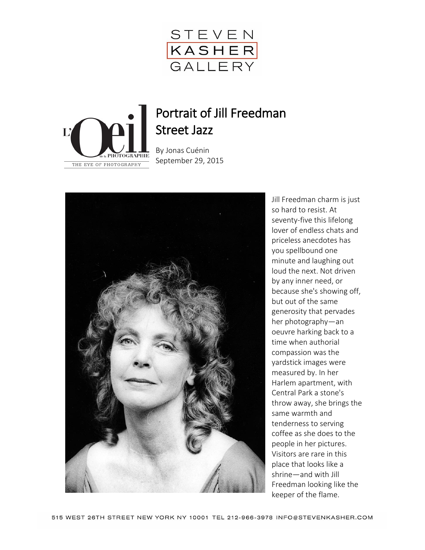



## Portrait of Jill Freedman Street Jazz

B[y Jonas Cuénin](http://www.loeildelaphotographie.com/authors/jonas-cuenin) September 29, 2015



Jill Freedman charm is just so hard to resist. At seventy-five this lifelong lover of endless chats and priceless anecdotes has you spellbound one minute and laughing out loud the next. Not driven by any inner need, or because she's showing off, but out of the same generosity that pervades her photography—an oeuvre harking back to a time when authorial compassion was the yardstick images were measured by. In her Harlem apartment, with Central Park a stone's throw away, she brings the same warmth and tenderness to serving coffee as she does to the people in her pictures. Visitors are rare in this place that looks like a shrine—and with Jill Freedman looking like the keeper of the flame.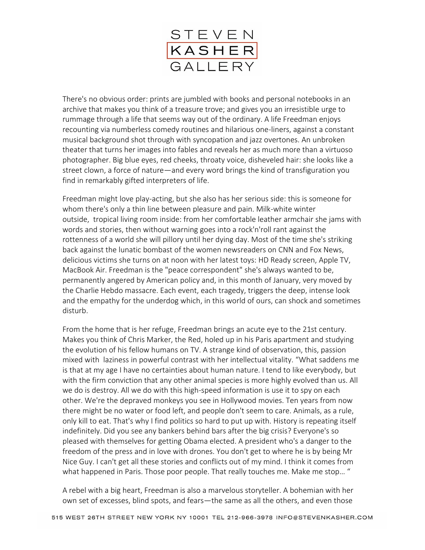

There's no obvious order: prints are jumbled with books and personal notebooks in an archive that makes you think of a treasure trove; and gives you an irresistible urge to rummage through a life that seems way out of the ordinary. A life Freedman enjoys recounting via numberless comedy routines and hilarious one-liners, against a constant musical background shot through with syncopation and jazz overtones. An unbroken theater that turns her images into fables and reveals her as much more than a virtuoso photographer. Big blue eyes, red cheeks, throaty voice, disheveled hair: she looks like a street clown, a force of nature—and every word brings the kind of transfiguration you find in remarkably gifted interpreters of life.

Freedman might love play-acting, but she also has her serious side: this is someone for whom there's only a thin line between pleasure and pain. Milk-white winter outside, tropical living room inside: from her comfortable leather armchair she jams with words and stories, then without warning goes into a rock'n'roll rant against the rottenness of a world she will pillory until her dying day. Most of the time she's striking back against the lunatic bombast of the women newsreaders on CNN and Fox News, delicious victims she turns on at noon with her latest toys: HD Ready screen, Apple TV, MacBook Air. Freedman is the "peace correspondent" she's always wanted to be, permanently angered by American policy and, in this month of January, very moved by the Charlie Hebdo massacre. Each event, each tragedy, triggers the deep, intense look and the empathy for the underdog which, in this world of ours, can shock and sometimes disturb.

From the home that is her refuge, Freedman brings an acute eye to the 21st century. Makes you think of Chris Marker, the Red, holed up in his Paris apartment and studying the evolution of his fellow humans on TV. A strange kind of observation, this, passion mixed with laziness in powerful contrast with her intellectual vitality. "What saddens me is that at my age I have no certainties about human nature. I tend to like everybody, but with the firm conviction that any other animal species is more highly evolved than us. All we do is destroy. All we do with this high-speed information is use it to spy on each other. We're the depraved monkeys you see in Hollywood movies. Ten years from now there might be no water or food left, and people don't seem to care. Animals, as a rule, only kill to eat. That's why I find politics so hard to put up with. History is repeating itself indefinitely. Did you see any bankers behind bars after the big crisis? Everyone's so pleased with themselves for getting Obama elected. A president who's a danger to the freedom of the press and in love with drones. You don't get to where he is by being Mr Nice Guy. I can't get all these stories and conflicts out of my mind. I think it comes from what happened in Paris. Those poor people. That really touches me. Make me stop... "

A rebel with a big heart, Freedman is also a marvelous storyteller. A bohemian with her own set of excesses, blind spots, and fears—the same as all the others, and even those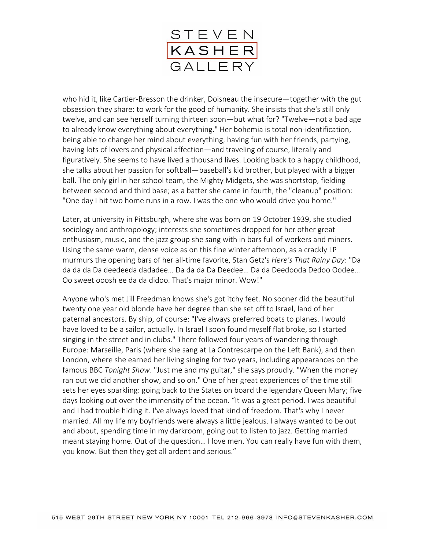

who hid it, like Cartier-Bresson the drinker, Doisneau the insecure—together with the gut obsession they share: to work for the good of humanity. She insists that she's still only twelve, and can see herself turning thirteen soon—but what for? "Twelve—not a bad age to already know everything about everything." Her bohemia is total non-identification, being able to change her mind about everything, having fun with her friends, partying, having lots of lovers and physical affection—and traveling of course, literally and figuratively. She seems to have lived a thousand lives. Looking back to a happy childhood, she talks about her passion for softball—baseball's kid brother, but played with a bigger ball. The only girl in her school team, the Mighty Midgets, she was shortstop, fielding between second and third base; as a batter she came in fourth, the "cleanup" position: "One day I hit two home runs in a row. I was the one who would drive you home."

Later, at university in Pittsburgh, where she was born on 19 October 1939, she studied sociology and anthropology; interests she sometimes dropped for her other great enthusiasm, music, and the jazz group she sang with in bars full of workers and miners. Using the same warm, dense voice as on this fine winter afternoon, as a crackly LP murmurs the opening bars of her all-time favorite, Stan Getz's *Here's That Rainy Day*: "Da da da da Da deedeeda dadadee… Da da da Da Deedee… Da da Deedooda Dedoo Oodee… Oo sweet ooosh ee da da didoo. That's major minor. Wow!"

Anyone who's met Jill Freedman knows she's got itchy feet. No sooner did the beautiful twenty one year old blonde have her degree than she set off to Israel, land of her paternal ancestors. By ship, of course: "I've always preferred boats to planes. I would have loved to be a sailor, actually. In Israel I soon found myself flat broke, so I started singing in the street and in clubs." There followed four years of wandering through Europe: Marseille, Paris (where she sang at La Contrescarpe on the Left Bank), and then London, where she earned her living singing for two years, including appearances on the famous BBC *Tonight Show*. "Just me and my guitar," she says proudly. "When the money ran out we did another show, and so on." One of her great experiences of the time still sets her eyes sparkling: going back to the States on board the legendary Queen Mary; five days looking out over the immensity of the ocean. "It was a great period. I was beautiful and I had trouble hiding it. I've always loved that kind of freedom. That's why I never married. All my life my boyfriends were always a little jealous. I always wanted to be out and about, spending time in my darkroom, going out to listen to jazz. Getting married meant staying home. Out of the question… I love men. You can really have fun with them, you know. But then they get all ardent and serious."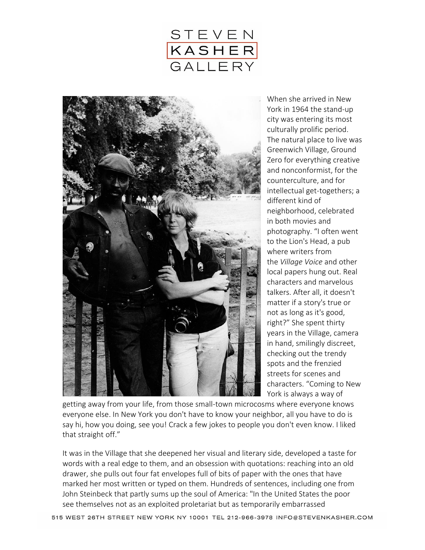



When she arrived in New York in 1964 the stand-up city was entering its most culturally prolific period. The natural place to live was Greenwich Village, Ground Zero for everything creative and nonconformist, for the counterculture, and for intellectual get-togethers; a different kind of neighborhood, celebrated in both movies and photography. "I often went to the Lion's Head, a pub where writers from the *Village Voice* and other local papers hung out. Real characters and marvelous talkers. After all, it doesn't matter if a story's true or not as long as it's good, right?" She spent thirty years in the Village, camera in hand, smilingly discreet, checking out the trendy spots and the frenzied streets for scenes and characters. "Coming to New York is always a way of

getting away from your life, from those small-town microcosms where everyone knows everyone else. In New York you don't have to know your neighbor, all you have to do is say hi, how you doing, see you! Crack a few jokes to people you don't even know. I liked that straight off."

It was in the Village that she deepened her visual and literary side, developed a taste for words with a real edge to them, and an obsession with quotations: reaching into an old drawer, she pulls out four fat envelopes full of bits of paper with the ones that have marked her most written or typed on them. Hundreds of sentences, including one from John Steinbeck that partly sums up the soul of America: "In the United States the poor see themselves not as an exploited proletariat but as temporarily embarrassed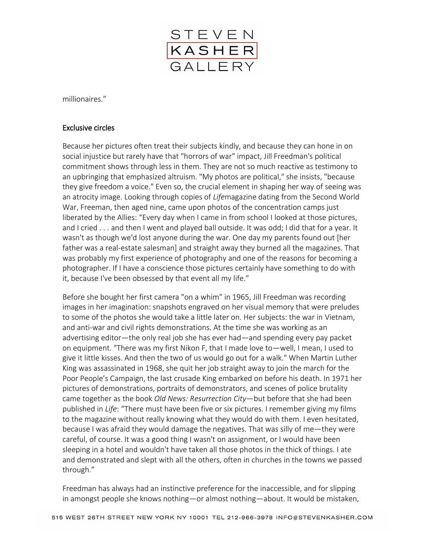

millionaires."

## Exclusive circles

Because her pictures often treat their subjects kindly, and because they can hone in on social injustice but rarely have that "horrors of war" impact, Jill Freedman's political commitment shows through less in them. They are not so much reactive as testimony to an upbringing that emphasized altruism. "My photos are political," she insists, "because they give freedom a voice." Even so, the crucial element in shaping her way of seeing was an atrocity image. Looking through copies of *Life*magazine dating from the Second World War, Freeman, then aged nine, came upon photos of the concentration camps just liberated by the Allies: "Every day when I came in from school I looked at those pictures, and I cried . . . and then I went and played ball outside. It was odd; I did that for a year. It wasn't as though we'd lost anyone during the war. One day my parents found out [her father was a real-estate salesman] and straight away they burned all the magazines. That was probably my first experience of photography and one of the reasons for becoming a photographer. If I have a conscience those pictures certainly have something to do with it, because I've been obsessed by that event all my life."

Before she bought her first camera "on a whim" in 1965, Jill Freedman was recording images in her imagination: snapshots engraved on her visual memory that were preludes to some of the photos she would take a little later on. Her subjects: the war in Vietnam, and anti-war and civil rights demonstrations. At the time she was working as an advertising editor—the only real job she has ever had—and spending every pay packet on equipment. "There was my first Nikon F, that I made love to—well, I mean, I used to give it little kisses. And then the two of us would go out for a walk." When Martin Luther King was assassinated in 1968, she quit her job straight away to join the march for the Poor People's Campaign, the last crusade King embarked on before his death. In 1971 her pictures of demonstrations, portraits of demonstrators, and scenes of police brutality came together as the book *Old News: Resurrection City*—but before that she had been published in *Life*: "There must have been five or six pictures. I remember giving my films to the magazine without really knowing what they would do with them. I even hesitated, because I was afraid they would damage the negatives. That was silly of me—they were careful, of course. It was a good thing I wasn't on assignment, or I would have been sleeping in a hotel and wouldn't have taken all those photos in the thick of things. I ate and demonstrated and slept with all the others, often in churches in the towns we passed through."

Freedman has always had an instinctive preference for the inaccessible, and for slipping in amongst people she knows nothing—or almost nothing—about. It would be mistaken,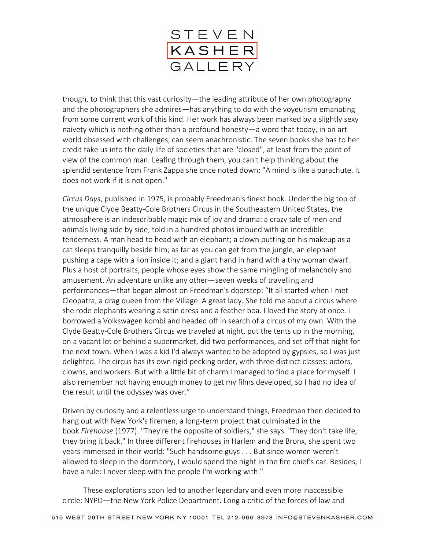

though, to think that this vast curiosity—the leading attribute of her own photography and the photographers she admires—has anything to do with the voyeurism emanating from some current work of this kind. Her work has always been marked by a slightly sexy naivety which is nothing other than a profound honesty—a word that today, in an art world obsessed with challenges, can seem anachronistic. The seven books she has to her credit take us into the daily life of societies that are "closed", at least from the point of view of the common man. Leafing through them, you can't help thinking about the splendid sentence from Frank Zappa she once noted down: "A mind is like a parachute. It does not work if it is not open."

*Circus Days*, published in 1975, is probably Freedman's finest book. Under the big top of the unique Clyde Beatty-Cole Brothers Circus in the Southeastern United States, the atmosphere is an indescribably magic mix of joy and drama: a crazy tale of men and animals living side by side, told in a hundred photos imbued with an incredible tenderness. A man head to head with an elephant; a clown putting on his makeup as a cat sleeps tranquilly beside him; as far as you can get from the jungle, an elephant pushing a cage with a lion inside it; and a giant hand in hand with a tiny woman dwarf. Plus a host of portraits, people whose eyes show the same mingling of melancholy and amusement. An adventure unlike any other—seven weeks of travelling and performances—that began almost on Freedman's doorstep: "It all started when I met Cleopatra, a drag queen from the Village. A great lady. She told me about a circus where she rode elephants wearing a satin dress and a feather boa. I loved the story at once. I borrowed a Volkswagen kombi and headed off in search of a circus of my own. With the Clyde Beatty-Cole Brothers Circus we traveled at night, put the tents up in the morning, on a vacant lot or behind a supermarket, did two performances, and set off that night for the next town. When I was a kid I'd always wanted to be adopted by gypsies, so I was just delighted. The circus has its own rigid pecking order, with three distinct classes: actors, clowns, and workers. But with a little bit of charm I managed to find a place for myself. I also remember not having enough money to get my films developed, so I had no idea of the result until the odyssey was over."

Driven by curiosity and a relentless urge to understand things, Freedman then decided to hang out with New York's firemen, a long-term project that culminated in the book *Firehouse* (1977). "They're the opposite of soldiers," she says. "They don't take life, they bring it back." In three different firehouses in Harlem and the Bronx, she spent two years immersed in their world: "Such handsome guys . . . But since women weren't allowed to sleep in the dormitory, I would spend the night in the fire chief's car. Besides, I have a rule: I never sleep with the people I'm working with."

These explorations soon led to another legendary and even more inaccessible circle: NYPD—the New York Police Department. Long a critic of the forces of law and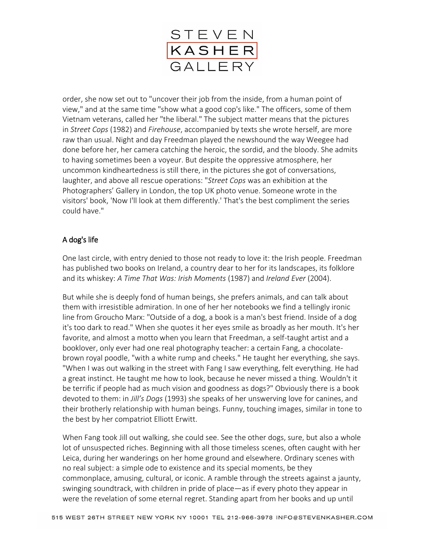

order, she now set out to "uncover their job from the inside, from a human point of view," and at the same time "show what a good cop's like." The officers, some of them Vietnam veterans, called her "the liberal." The subject matter means that the pictures in *Street Cops* (1982) and *Firehouse*, accompanied by texts she wrote herself, are more raw than usual. Night and day Freedman played the newshound the way Weegee had done before her, her camera catching the heroic, the sordid, and the bloody. She admits to having sometimes been a voyeur. But despite the oppressive atmosphere, her uncommon kindheartedness is still there, in the pictures she got of conversations, laughter, and above all rescue operations: "*Street Cops* was an exhibition at the Photographers' Gallery in London, the top UK photo venue. Someone wrote in the visitors' book, 'Now I'll look at them differently.' That's the best compliment the series could have."

## A dog's life

One last circle, with entry denied to those not ready to love it: the Irish people. Freedman has published two books on Ireland, a country dear to her for its landscapes, its folklore and its whiskey: *A Time That Was: Irish Moments* (1987) and *Ireland Ever* (2004).

But while she is deeply fond of human beings, she prefers animals, and can talk about them with irresistible admiration. In one of her her notebooks we find a tellingly ironic line from Groucho Marx: "Outside of a dog, a book is a man's best friend. Inside of a dog it's too dark to read." When she quotes it her eyes smile as broadly as her mouth. It's her favorite, and almost a motto when you learn that Freedman, a self-taught artist and a booklover, only ever had one real photography teacher: a certain Fang, a chocolatebrown royal poodle, "with a white rump and cheeks." He taught her everything, she says. "When I was out walking in the street with Fang I saw everything, felt everything. He had a great instinct. He taught me how to look, because he never missed a thing. Wouldn't it be terrific if people had as much vision and goodness as dogs?" Obviously there is a book devoted to them: in *Jill's Dogs* (1993) she speaks of her unswerving love for canines, and their brotherly relationship with human beings. Funny, touching images, similar in tone to the best by her compatriot Elliott Erwitt.

When Fang took Jill out walking, she could see. See the other dogs, sure, but also a whole lot of unsuspected riches. Beginning with all those timeless scenes, often caught with her Leica, during her wanderings on her home ground and elsewhere. Ordinary scenes with no real subject: a simple ode to existence and its special moments, be they commonplace, amusing, cultural, or iconic. A ramble through the streets against a jaunty, swinging soundtrack, with children in pride of place—as if every photo they appear in were the revelation of some eternal regret. Standing apart from her books and up until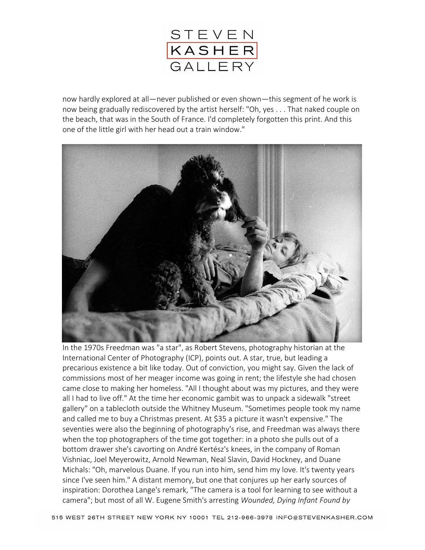

now hardly explored at all—never published or even shown—this segment of he work is now being gradually rediscovered by the artist herself: "Oh, yes . . . That naked couple on the beach, that was in the South of France. I'd completely forgotten this print. And this one of the little girl with her head out a train window."



In the 1970s Freedman was "a star", as Robert Stevens, photography historian at the International Center of Photography (ICP), points out. A star, true, but leading a precarious existence a bit like today. Out of conviction, you might say. Given the lack of commissions most of her meager income was going in rent; the lifestyle she had chosen came close to making her homeless. "All I thought about was my pictures, and they were all I had to live off." At the time her economic gambit was to unpack a sidewalk "street gallery" on a tablecloth outside the Whitney Museum. "Sometimes people took my name and called me to buy a Christmas present. At \$35 a picture it wasn't expensive." The seventies were also the beginning of photography's rise, and Freedman was always there when the top photographers of the time got together: in a photo she pulls out of a bottom drawer she's cavorting on André Kertész's knees, in the company of Roman Vishniac, Joel Meyerowitz, Arnold Newman, Neal Slavin, David Hockney, and Duane Michals: "Oh, marvelous Duane. If you run into him, send him my love. It's twenty years since I've seen him." A distant memory, but one that conjures up her early sources of inspiration: Dorothea Lange's remark, "The camera is a tool for learning to see without a camera"; but most of all W. Eugene Smith's arresting *Wounded, Dying Infant Found by*